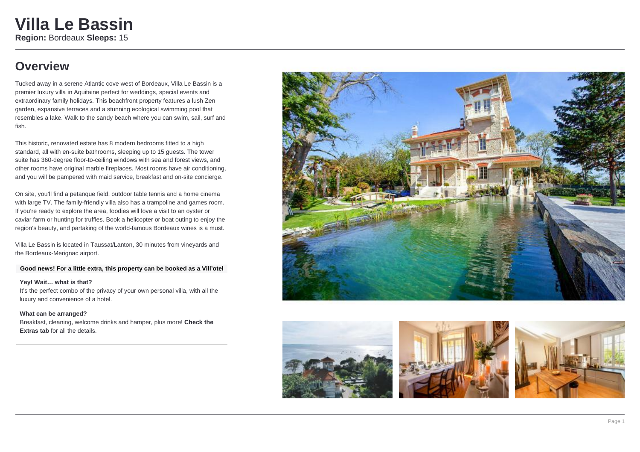## **Overview**

Tucked away in a serene Atlantic cove west of Bordeaux, Villa Le Bassin is a premier luxury villa in Aquitaine perfect for weddings, special events and extraordinary family holidays. This beachfront property features a lush Zen garden, expansive terraces and a stunning ecological swimming pool that resembles a lake. Walk to the sandy beach where you can swim, sail, surf and fish.

This historic, renovated estate has 8 modern bedrooms fitted to a high standard, all with en-suite bathrooms, sleeping up to 15 guests. The tower suite has 360-degree floor-to-ceiling windows with sea and forest views, and other rooms have original marble fireplaces. Most rooms have air conditioning, and you will be pampered with maid service, breakfast and on-site concierge.

On site, you'll find a petanque field, outdoor table tennis and a home cinema with large TV. The family-friendly villa also has a trampoline and games room. If you're ready to explore the area, foodies will love a visit to an oyster or caviar farm or hunting for truffles. Book a helicopter or boat outing to enjoy the region's beauty, and partaking of the world-famous Bordeaux wines is a must.

Villa Le Bassin is located in Taussat/Lanton, 30 minutes from vineyards and the Bordeaux-Merignac airport.

#### **Good news! For a little extra, this property can be booked as a Vill'otel**

**Yey! Wait… what is that?** It's the perfect combo of the privacy of your own personal villa, with all the luxury and convenience of a hotel.

#### **What can be arranged?**

Breakfast, cleaning, welcome drinks and hamper, plus more! **Check the Extras tab** for all the details.







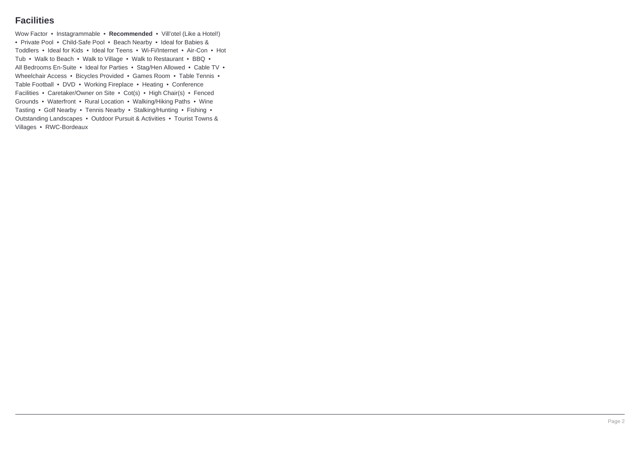### **Facilities**

Wow Factor • Instagrammable • **Recommended** • Vill'otel (Like a Hotel!) • Private Pool • Child-Safe Pool • Beach Nearby • Ideal for Babies & Toddlers • Ideal for Kids • Ideal for Teens • Wi-Fi/Internet • Air-Con • Hot Tub • Walk to Beach • Walk to Village • Walk to Restaurant • BBQ • All Bedrooms En-Suite • Ideal for Parties • Stag/Hen Allowed • Cable TV • Wheelchair Access • Bicycles Provided • Games Room • Table Tennis • Table Football • DVD • Working Fireplace • Heating • Conference Facilities • Caretaker/Owner on Site • Cot(s) • High Chair(s) • Fenced Grounds • Waterfront • Rural Location • Walking/Hiking Paths • Wine Tasting • Golf Nearby • Tennis Nearby • Stalking/Hunting • Fishing • Outstanding Landscapes • Outdoor Pursuit & Activities • Tourist Towns & Villages • RWC-Bordeaux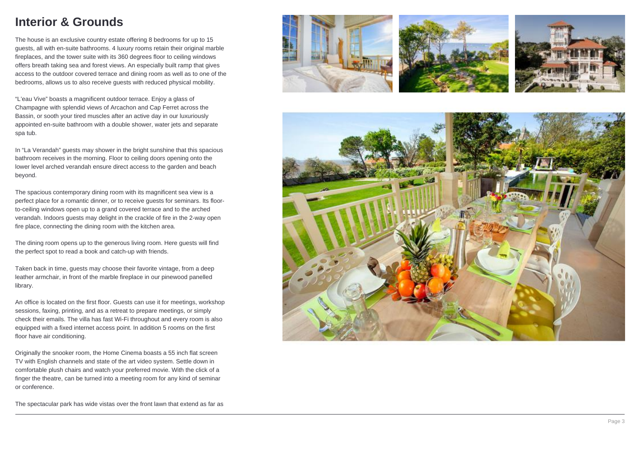## **Interior & Grounds**

The house is an exclusive country estate offering 8 bedrooms for up to 15 guests, all with en-suite bathrooms. 4 luxury rooms retain their original marble fireplaces, and the tower suite with its 360 degrees floor to ceiling windows offers breath taking sea and forest views. An especially built ramp that gives access to the outdoor covered terrace and dining room as well as to one of the bedrooms, allows us to also receive guests with reduced physical mobility.

"L'eau Vive" boasts a magnificent outdoor terrace. Enjoy a glass of Champagne with splendid views of Arcachon and Cap Ferret across the Bassin, or sooth your tired muscles after an active day in our luxuriously appointed en-suite bathroom with a double shower, water jets and separate spa tub.

In "La Verandah" guests may shower in the bright sunshine that this spacious bathroom receives in the morning. Floor to ceiling doors opening onto the lower level arched verandah ensure direct access to the garden and beach beyond.

The spacious contemporary dining room with its magnificent sea view is a perfect place for a romantic dinner, or to receive guests for seminars. Its floorto-ceiling windows open up to a grand covered terrace and to the arched verandah. Indoors guests may delight in the crackle of fire in the 2-way open fire place, connecting the dining room with the kitchen area.

The dining room opens up to the generous living room. Here guests will find the perfect spot to read a book and catch-up with friends.

Taken back in time, guests may choose their favorite vintage, from a deep leather armchair, in front of the marble fireplace in our pinewood panelled library.

An office is located on the first floor. Guests can use it for meetings, workshop sessions, faxing, printing, and as a retreat to prepare meetings, or simply check their emails. The villa has fast Wi-Fi throughout and every room is also equipped with a fixed internet access point. In addition 5 rooms on the first floor have air conditioning.

Originally the snooker room, the Home Cinema boasts a 55 inch flat screen TV with English channels and state of the art video system. Settle down in comfortable plush chairs and watch your preferred movie. With the click of a finger the theatre, can be turned into a meeting room for any kind of seminar or conference.

The spectacular park has wide vistas over the front lawn that extend as far as







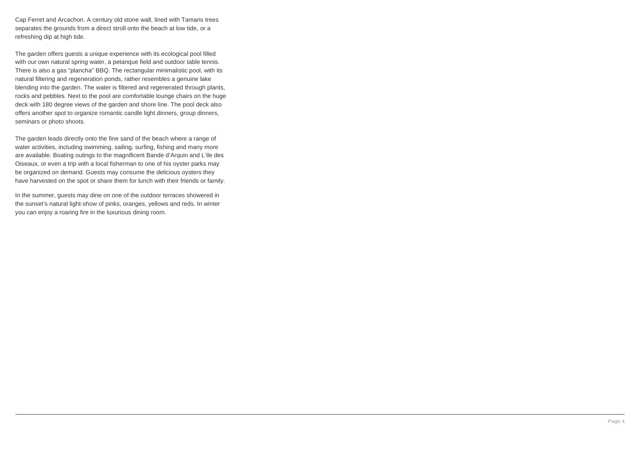Cap Ferret and Arcachon. A century old stone wall, lined with Tamaris trees separates the grounds from a direct stroll onto the beach at low tide, or a refreshing dip at high tide.

The garden offers guests a unique experience with its ecological pool filled with our own natural spring water, a petanque field and outdoor table tennis. There is also a gas "plancha" BBQ. The rectangular minimalistic pool, with its natural filtering and regeneration ponds, rather resembles a genuine lake blending into the garden. The water is filtered and regenerated through plants, rocks and pebbles. Next to the pool are comfortable lounge chairs on the huge deck with 180 degree views of the garden and shore line. The pool deck also offers another spot to organize romantic candle light dinners, group dinners, seminars or photo shoots.

The garden leads directly onto the fine sand of the beach where a range of water activities, including swimming, sailing, surfing, fishing and many more are available. Boating outings to the magnificent Bande d'Arquin and L'ile des Oiseaux, or even a trip with a local fisherman to one of his oyster parks may be organized on demand. Guests may consume the delicious oysters they have harvested on the spot or share them for lunch with their friends or family.

In the summer, quests may dine on one of the outdoor terraces showered in the sunset's natural light-show of pinks, oranges, yellows and reds. In winter you can enjoy a roaring fire in the luxurious dining room.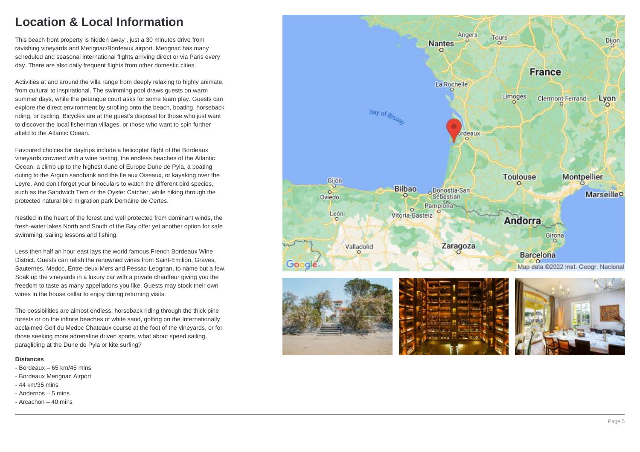## **Location & Local Information**

This beach front property is hidden away , just a 30 minutes drive from ravishing vineyards and Merignac/Bordeaux airport. Merignac has many scheduled and seasonal international flights arriving direct or via Paris every day. There are also daily frequent flights from other domestic cities.

Activities at and around the villa range from deeply relaxing to highly animate, from cultural to inspirational. The swimming pool draws guests on warm summer days, while the petanque court asks for some team play. Guests can explore the direct environment by strolling onto the beach, boating, horseback riding, or cycling. Bicycles are at the guest's disposal for those who just want to discover the local fisherman villages, or those who want to spin further afield to the Atlantic Ocean.

Favoured choices for daytrips include a helicopter flight of the Bordeaux vineyards crowned with a wine tasting, the endless beaches of the Atlantic Ocean, a climb up to the highest dune of Europe Dune de Pyla, a boating outing to the Arguin sandbank and the Ile aux Oiseaux, or kayaking over the Leyre. And don't forget your binoculars to watch the different bird species, such as the Sandwich Tern or the Oyster Catcher, while hiking through the protected natural bird migration park Domaine de Certes.

Nestled in the heart of the forest and well protected from dominant winds, the fresh-water lakes North and South of the Bay offer yet another option for safe swimming, sailing lessons and fishing.

Less then half an hour east lays the world famous French Bordeaux Wine District. Guests can relish the renowned wines from Saint-Emilion, Graves, Sauternes, Medoc, Entre-deux-Mers and Pessac-Leognan, to name but a few. Soak up the vineyards in a luxury car with a private chauffeur giving you the freedom to taste as many appellations you like. Guests may stock their own wines in the house cellar to enjoy during returning visits.

The possibilities are almost endless: horseback riding through the thick pine forests or on the infinite beaches of white sand, golfing on the Internationally acclaimed Golf du Medoc Chateaux course at the foot of the vineyards, or for those seeking more adrenaline driven sports, what about speed sailing, paragliding at the Dune de Pyla or kite surfing?

#### **Distances**

- Bordeaux 65 km/45 mins
- Bordeaux Merignac Airport
- 44 km/35 mins
- Andernos 5 mins
- Arcachon 40 mins

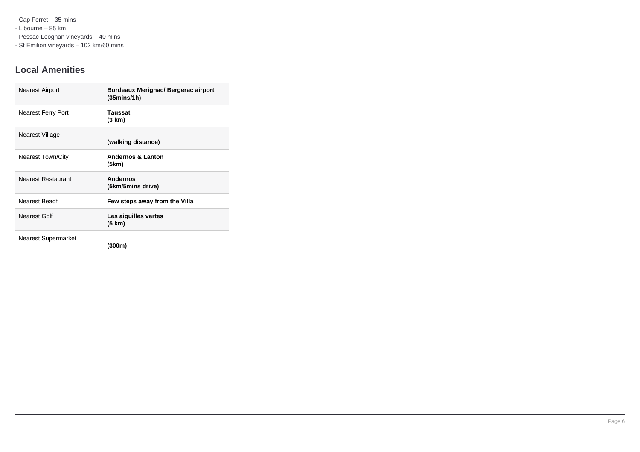- Cap Ferret – 35 mins

- Libourne – 85 km

- Pessac-Leognan vineyards – 40 mins

- St Emilion vineyards – 102 km/60 mins

### **Local Amenities**

| <b>Nearest Airport</b>    | Bordeaux Merignac/ Bergerac airport<br>(35mins/1h) |
|---------------------------|----------------------------------------------------|
| <b>Nearest Ferry Port</b> | Taussat<br>(3 km)                                  |
| Nearest Village           | (walking distance)                                 |
| <b>Nearest Town/City</b>  | <b>Andernos &amp; Lanton</b><br>(5km)              |
| <b>Nearest Restaurant</b> | <b>Andernos</b><br>(5km/5mins drive)               |
| Nearest Beach             | Few steps away from the Villa                      |
| Nearest Golf              | Les aiguilles vertes<br>(5 km)                     |
| Nearest Supermarket       | (300m)                                             |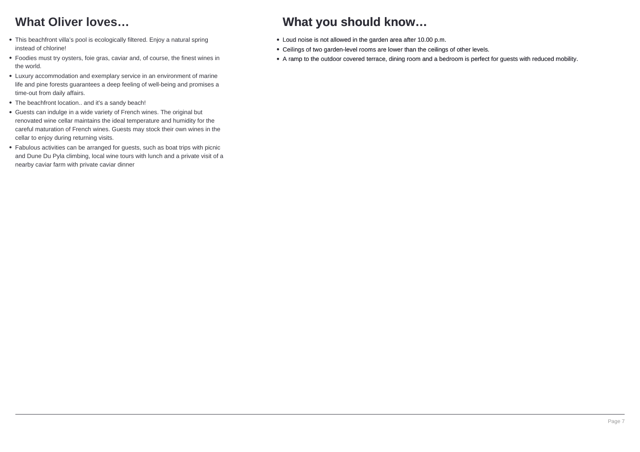# **What Oliver loves…**

- This beachfront villa's pool is ecologically filtered. Enjoy a natural spring instead of chlorine!
- Foodies must try oysters, foie gras, caviar and, of course, the finest wines in the world.
- Luxury accommodation and exemplary service in an environment of marine life and pine forests guarantees a deep feeling of well-being and promises a time-out from daily affairs.
- The beachfront location.. and it's a sandy beach!
- Guests can indulge in a wide variety of French wines. The original but renovated wine cellar maintains the ideal temperature and humidity for the careful maturation of French wines. Guests may stock their own wines in the cellar to enjoy during returning visits.
- Fabulous activities can be arranged for guests, such as boat trips with picnic and Dune Du Pyla climbing, local wine tours with lunch and a private visit of a nearby caviar farm with private caviar dinner

# **What you should know…**

- Loud noise is not allowed in the garden area after 10.00 p.m.
- Ceilings of two garden-level rooms are lower than the ceilings of other levels.
- A ramp to the outdoor covered terrace, dining room and a bedroom is perfect for guests with reduced mobility.